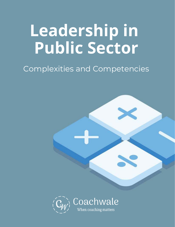## **Leadership in Public Sector**

## Complexities and Competencies



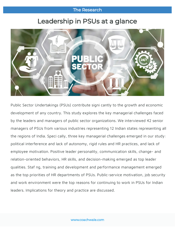## **The Research**

## Leadership in PSUs at a glance



Public Sector Undertakings (PSUs) contribute signi cantly to the growth and economic development of any country. This study explores the key managerial challenges faced by the leaders and managers of public sector organizations. We interviewed 42 senior managers of PSUs from various industries representing 12 Indian states representing all the regions of India. Speci cally, three key managerial challenges emerged in our study: political interference and lack of autonomy, rigid rules and HR practices, and lack of employee motivation. Positive leader personality, communication skills, change- and relation-oriented behaviors, HR skills, and decision-making emerged as top leader qualities. Staf ng, training and development and performance management emerged as the top priorities of HR departments of PSUs. Public-service motivation, job security and work environment were the top reasons for continuing to work in PSUs for Indian leaders. Implications for theory and practice are discussed.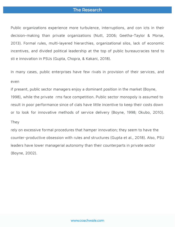### The Research

Public organizations experience more turbulence, interruptions, and con icts in their decision-making than private organizations (Nutt, 2006; Geetha-Taylor & Morse, 2013). Formal rules, multi-layered hierarchies, organizational silos, lack of economic incentives, and divided political leadership at the top of public bureaucracies tend to sti e innovation in PSUs (Gupta, Chopra, & Kakani, 2018).

In many cases, public enterprises have few rivals in provision of their services, and even

if present, public sector managers enjoy a dominant position in the market (Boyne, 1998), while the private rms face competition. Public sector monopoly is assumed to result in poor performance since of cials have little incentive to keep their costs down or to look for innovative methods of service delivery (Boyne, 1998; Okubo, 2010).

#### They

rely on excessive formal procedures that hamper innovation; they seem to have the counter-productive obsession with rules and structures (Gupta et al., 2018). Also, PSU leaders have lower managerial autonomy than their counterparts in private sector (Boyne, 2002).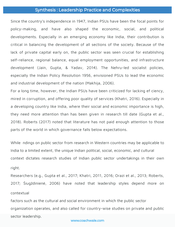#### **Synthesis: Leadership Practice and Complexities**

Since the country's independence in 1947, Indian PSUs have been the focal points for policy-making, and have also shaped the economic, social, and political developments. Especially in an emerging economy like India, their contribution is critical in balancing the development of all sections of the society. Because of the lack of private capital early on, the public sector was seen crucial for establishing self-reliance, regional balance, equal employment opportunities, and infrastructure development (Jain, Gupta, & Yadav, 2014). The Nehru-led socialist policies, especially the Indian Policy Resolution 1956, envisioned PSUs to lead the economic and industrial development of the nation (Makhija, 2006).

For a long time, however, the Indian PSUs have been criticized for lacking ef ciency, mired in corruption, and offering poor quality of services (Khatri, 2016). Especially in a developing country like India, where their social and economic importance is high, they need more attention than has been given in research till date (Gupta et al., 2018). Roberts (2017) noted that literature has not paid enough attention to those parts of the world in which governance falls below expectations.

While ndings on public sector from research in Western countries may be applicable to India to a limited extent, the unique Indian political, social, economic, and cultural context dictates research studies of Indian public sector undertakings in their own right.

Researchers (e.g., Gupta et al., 2017; Khatri, 2011, 2016; Orazi et al., 2013; Roberts, 2017; Šiugždinienė, 2006) have noted that leadership styles depend more on contextual

factors such as the cultural and social environment in which the public sector organization operates, and also called for country-wise studies on private and public sector leadership.

#### www.coachwale.com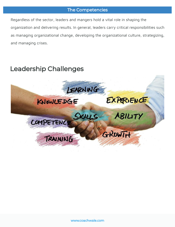## The Competencies

Regardless of the sector, leaders and mangers hold a vital role in shaping the organization and delivering results. In general, leaders carry critical responsibilities such as managing organizational change, developing the organizational culture, strategizing, and managing crises.

## **Leadership Challenges**

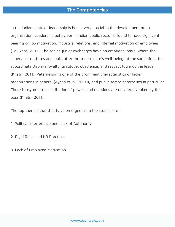## **The Competencies**

In the Indian context, leadership is hence very crucial to the development of an organization. Leadership behaviour in Indian public sector is found to have signi cant bearing on job motivation, industrial relations, and internal motivation of employees (Talukdar, 2013). The senior-junior exchanges have an emotional basis, where the supervisor nurtures and looks after the subordinate's well-being, at the same time, the subordinate displays loyalty, gratitude, obedience, and respect towards the leader (Khatri, 2011). Paternalism is one of the prominent characteristics of Indian organizations in general (Aycan et. al, 2000), and public sector enterprises in particular. There is asymmetric distribution of power, and decisions are unilaterally taken by the boss (Khatri, 2011).

The top themes that that have emerged from the studies are :

1. Political Interference and Lack of Autonomy

2. Rigid Rules and HR Practices

3. Lack of Employee Motivation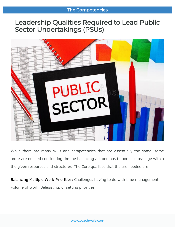## Leadership Qualities Required to Lead Public **Sector Undertakings (PSUs)**



While there are many skills and competencies that are essentially the same, some more are needed considering the ne balancing act one has to and also manage within the given resources and structures. The Core qualities that the are needed are :

Balancing Multiple Work Priorities: Challenges having to do with time management, volume of work, delegating, or setting priorities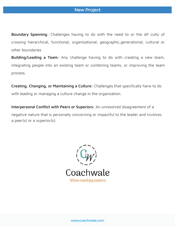Boundary Spanning: Challenges having to do with the need to or the dif culty of crossing hierarchical, functional, organizational, geographic,generational, cultural or other boundaries

Building/Leading a Team: Any challenge having to do with creating a new team, integrating people into an existing team or combining teams, or improving the team process.

Creating, Changing, or Maintaining a Culture: Challenges that specifically have to do with leading or managing a culture change in the organization.

Interpersonal Conflict with Peers or Superiors: An unresolved disagreement of a negative nature that is personally concerning or impactful to the leader and involves a peer(s) or a superior(s).

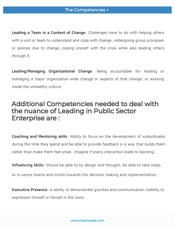Leading a Team in a Context of Change: Challenges have to do with helping others with a unit or team to understand and cope with change, redesigning group processes or policies due to change, coping oneself with the crisis while also leading others through it.

Leading/Managing Organizational Change: Being accountable for leading or managing a major organization-wide change or aspects of that change, or working inside the unhealthy culture.

## Additional Competencies needed to deal with the nuance of Leading in Public Sector **Enterprise are:**

Coaching and Mentoring skills: Ability to focus on the development of subordinates during the time they spend and be able to provide feedback in a way that builds them rather than make them feel small. Imagine if every interaction leads to learning.

Influencing Skills: Should be able to by design and thought, be able to take steps

to in uence hearts and minds towards the decision making and implementation.

Executive Presence: Is ability to demonstrate gravitas and communication inability to expression himself or herself in the room.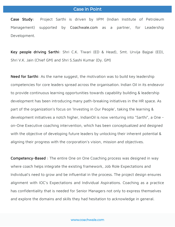#### **Case in Point**

Case Study: Project Sarthi is driven by IiPM (Indian Institute of Petroleum Management) supported by Coachwale.com as a partner, for Leadership Development.

Key people driving Sarthi: Shri C.K. Tiwari (ED & Head), Smt. Urvija Bajpai (ED), Shri V.K. Jain (Chief GM) and Shri S.Sashi Kumar (Dy. GM)

Need for Sarthi: As the name suggest, the motivation was to build key leadership competencies for core leaders spread across the organisation. lndian Oil in its endeavor to provide continuous learning opportunities towards capability building & leadership development has been introducing many path-breaking initiatives in the HR space. As part of the organization's focus on 'lnvesting in Our People', taking the learning & development initiatives a notch higher, lndianOil is now venturing into "Sarthi", a One on-One Executive coaching intervention, which has been conceptualized and designed with the objective of developing future leaders by unlocking their inherent potential & aligning their progress with the corporation's vision, mission and objectives.

Competency-Based : The entire One on One Coaching process was designed in way where coach helps integrate the existing framework, Job Role Expectations and Individual's need to grow and be influential in the process. The project design ensures alignment with IOC's Expectations and Individual Aspirations. Coaching as a practice has confidentiality that is needed for Senior Managers not only to express themselves and explore the domains and skills they had hesitation to acknowledge in general.

#### www.coachwale.com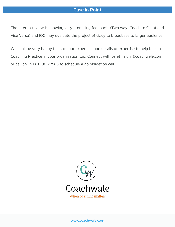## **Case in Point**

The interim review is showing very promising feedback, (Two way, Coach to Client and Vice Versa) and IOC may evaluate the project ef ciacy to broadbase to larger audience.

We shall be very happy to share our experince and details of expertise to help build a Coaching Practice in your organisation too. Connect with us at : ridhi@coachwale.com or call on +91 81300 22586 to schedule a no obligation call.